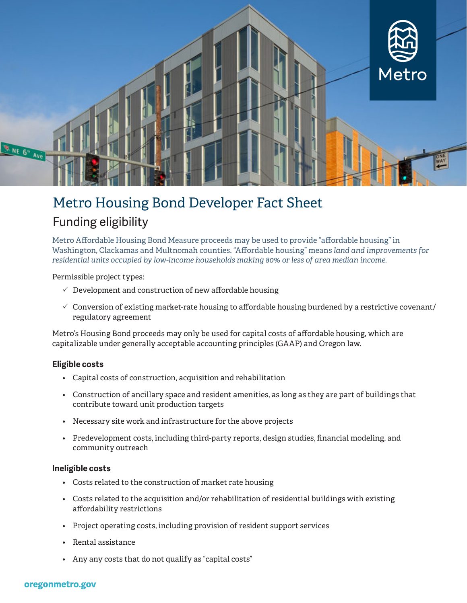

## Metro Housing Bond Developer Fact Sheet Funding eligibility

Metro Affordable Housing Bond Measure proceeds may be used to provide "affordable housing" in Washington, Clackamas and Multnomah counties. "Affordable housing" means *land and improvements for residential units occupied by low-income households making 80% or less of area median income.*

Permissible project types:

- $\checkmark$  Development and construction of new affordable housing
- $\checkmark$  Conversion of existing market-rate housing to affordable housing burdened by a restrictive covenant/ regulatory agreement

Metro's Housing Bond proceeds may only be used for capital costs of affordable housing, which are capitalizable under generally acceptable accounting principles (GAAP) and Oregon law.

#### **Eligible costs**

- Capital costs of construction, acquisition and rehabilitation
- Construction of ancillary space and resident amenities, as long as they are part of buildings that contribute toward unit production targets
- Necessary site work and infrastructure for the above projects
- Predevelopment costs, including third-party reports, design studies, financial modeling, and community outreach

#### **Ineligible costs**

- Costs related to the construction of market rate housing
- Costs related to the acquisition and/or rehabilitation of residential buildings with existing affordability restrictions
- Project operating costs, including provision of resident support services
- Rental assistance
- Any any costs that do not qualify as "capital costs"

#### oregonmetro.gov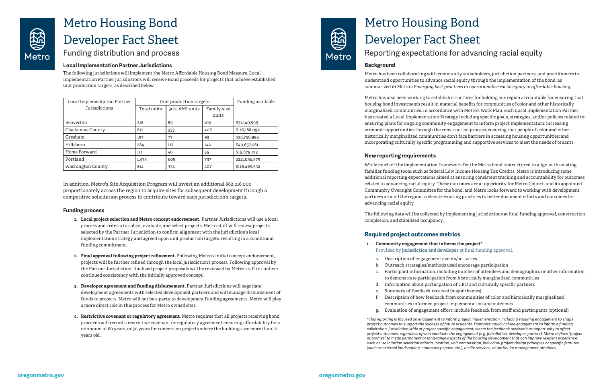

## Metro Housing Bond Developer Fact Sheet Funding distribution and process

#### **Local Implementation Partner Jurisdictions**

The following jurisdictions will implement the Metro Affordable Housing Bond Measure. Local Implementation Partner jurisdictions will receive Bond proceeds for projects that achieve established unit production targets, as described below.

In addition, Metro's Site Acquisition Program will invest an additional \$62,016,000 proportionately across the region to acquire sites for subsequent development through a competitive solicitation process to contribute toward each jurisdiction's targets.

#### **Funding process**

- **1. Local project selection and Metro concept endorsement.** Partner Jurisdictions will use a local process and criteria to solicit, evaluate, and select projects. Metro staff will review projects selected by the Partner Jurisdiction to confirm alignment with the jurisdiction's local implementation strategy and agreed upon unit production targets, resulting in a conditional funding commitment.
- **2. Final approval following project refinement.** Following Metro's initial concept endorsement, projects will be further refined through the local jurisdiction's process. Following approval by the Partner Jurisdiction, finalized project proposals will be reviewed by Metro staff to confirm continued consistency with the initially approved concept.
- **3. Developer agreement and funding disbursement.** Partner Jurisdictions will negotiate development agreements with selected development partners and will manage disbursement of funds to projects. Metro will not be a party to development funding agreements. Metro will play a more direct role in this process for Metro owned sites.
- **4. Restrictive covenant or regulatory agreement.** Metro requires that all projects receiving bond proceeds will record a restrictive covenant or regulatory agreement ensuring affordability for a minimum of 60 years, or 30 years for conversion projects where the buildings are more than 10 years old.



| Local Implementation Partner | Unit production targets |               |             | Funding available |
|------------------------------|-------------------------|---------------|-------------|-------------------|
| Jurisdictions                | Total units             | 30% AMI units | Family-size |                   |
|                              |                         |               | units       |                   |
| <b>Beaverton</b>             | 218                     | 89            | 109         | \$31,140,595      |
| Clackamas County             | 812                     | 333           | 406         | \$116,188,094     |
| Gresham                      | 187                     | 77            | 93          | \$26,756,995      |
| Hillsboro                    | 284                     | 117           | 142         | \$40,657,081      |
| Home Forward                 | 111                     | 46            | 55          | \$15,879,123      |
| Portland                     | 1,475                   | 605           | 737         | \$211,056,579     |
| Washington County            | 814                     | 334           | 407         | \$116,465,532     |

# Metro Housing Bond Developer Fact Sheet Reporting expectations for advancing racial equity

#### **Background**

Metro has been collaborating with community stakeholders, jurisdiction partners, and practitioners to understand opportunities to advance racial equity through the implementation of the bond, as summarized in Metro's *Emerging best practices to operationalize racial equity in affordable housing*.

Metro has also been working to establish structures for holding our region accountable for ensuring that housing bond investments result in material benefits for communities of color and other historically marginalized communities. In accordance with Metro's Work Plan, each Local Implementation Partner has created a Local Implementation Strategy including specific goals, strategies, and/or policies related to: ensuring plans for ongoing community engagement to inform project implementation; increasing economic opportunities through the construction process; ensuring that people of color and other historically marginalized communities don't face barriers in accessing housing opportunities; and incorporating culturally specific programming and supportive services to meet the needs of tenants.

#### **New reporting requirements**

While much of the implementation framework for the Metro bond is structured to align with existing, familiar funding tools, such as federal Low Income Housing Tax Credits, Metro is introducing some additional reporting expectations aimed at ensuring consistent tracking and accountability for outcomes related to advancing racial equity. These outcomes are a top priority for Metro Council and its appointed Community Oversight Committee for the bond, and Metro looks forward to working with development partners around the region to elevate existing practices to better document efforts and outcomes for advancing racial equity.

The following data will be collected by implementing jurisdictions at final funding approval, construction completion, and stabilized occupancy.

### **Required project outcomes metrics**

- 
- b. Outreach strategies/methods used encourage participation
	-
	-
- **1. Community engagement that informs the project\*** Provided by **jurisdiction and developer** at final funding approval.
	- a. Description of engagement events/activities
	-
	- c. Participant information, including number of attendees and demographics or other information to demonstrate participation from historically marginalized communities
	- d. Information about participation of CBO and culturally specific partners
- e. Summary of feedback received (major themes)
	- f. Description of how feedback from communities of color and historically marginalized communities informed project implementation and outcomes
	- g. Evaluation of engagement effort; include feedback from staff and participants (optional)

*\*This reporting is focused on engagement to inform project implementation, including ensuring engagement to shape project outcomes to support the success of future residents. Examples could include engagement to inform a funding solicitation, jurisdiction-wide or project specific engagement, where the feedback received has opportunity to affect project outcomes, regardless of who conducts the engagement (e.g. jurisdiction, developer, partner). Metro defines "project outcomes" to mean permanent or long-range aspects of the housing development that can improve resident experience, such as: solicitation selection criteria, location, unit composition, individual project design principles or specific features (such as external landscaping, community space, etc.), onsite services, or particular management practices.*